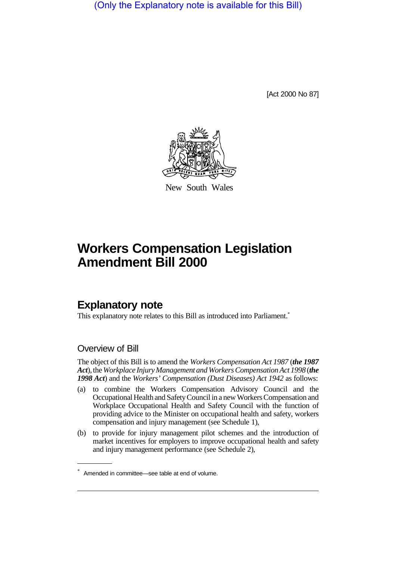(Only the Explanatory note is available for this Bill)

[Act 2000 No 87]



New South Wales

# **Workers Compensation Legislation Amendment Bill 2000**

### **Explanatory note**

This explanatory note relates to this Bill as introduced into Parliament.<sup>\*</sup>

#### Overview of Bill

The object of this Bill is to amend the *Workers Compensation Act 1987* (*the 1987 Act*), the *Workplace Injury Management and Workers Compensation Act 1998* (*the 1998 Act*) and the *Workers' Compensation (Dust Diseases) Act 1942* as follows:

- (a) to combine the Workers Compensation Advisory Council and the Occupational Health and Safety Council in a new Workers Compensation and Workplace Occupational Health and Safety Council with the function of providing advice to the Minister on occupational health and safety, workers compensation and injury management (see Schedule 1),
- (b) to provide for injury management pilot schemes and the introduction of market incentives for employers to improve occupational health and safety and injury management performance (see Schedule 2),

<sup>\*</sup> Amended in committee—see table at end of volume.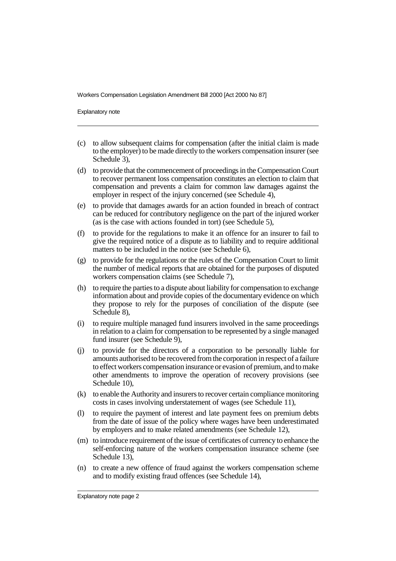Workers Compensation Legislation Amendment Bill 2000 [Act 2000 No 87]

Explanatory note

- (c) to allow subsequent claims for compensation (after the initial claim is made to the employer) to be made directly to the workers compensation insurer (see Schedule 3),
- (d) to provide that the commencement of proceedings in the Compensation Court to recover permanent loss compensation constitutes an election to claim that compensation and prevents a claim for common law damages against the employer in respect of the injury concerned (see Schedule 4),
- (e) to provide that damages awards for an action founded in breach of contract can be reduced for contributory negligence on the part of the injured worker (as is the case with actions founded in tort) (see Schedule 5),
- (f) to provide for the regulations to make it an offence for an insurer to fail to give the required notice of a dispute as to liability and to require additional matters to be included in the notice (see Schedule 6),
- (g) to provide for the regulations or the rules of the Compensation Court to limit the number of medical reports that are obtained for the purposes of disputed workers compensation claims (see Schedule 7),
- (h) to require the parties to a dispute about liability for compensation to exchange information about and provide copies of the documentary evidence on which they propose to rely for the purposes of conciliation of the dispute (see Schedule 8),
- (i) to require multiple managed fund insurers involved in the same proceedings in relation to a claim for compensation to be represented by a single managed fund insurer (see Schedule 9),
- (j) to provide for the directors of a corporation to be personally liable for amounts authorised to be recovered from the corporation in respect of a failure to effect workers compensation insurance or evasion of premium, and to make other amendments to improve the operation of recovery provisions (see Schedule 10),
- (k) to enable the Authority and insurers to recover certain compliance monitoring costs in cases involving understatement of wages (see Schedule 11),
- (l) to require the payment of interest and late payment fees on premium debts from the date of issue of the policy where wages have been underestimated by employers and to make related amendments (see Schedule 12),
- (m) to introduce requirement of the issue of certificates of currency to enhance the self-enforcing nature of the workers compensation insurance scheme (see Schedule 13).
- (n) to create a new offence of fraud against the workers compensation scheme and to modify existing fraud offences (see Schedule 14),

Explanatory note page 2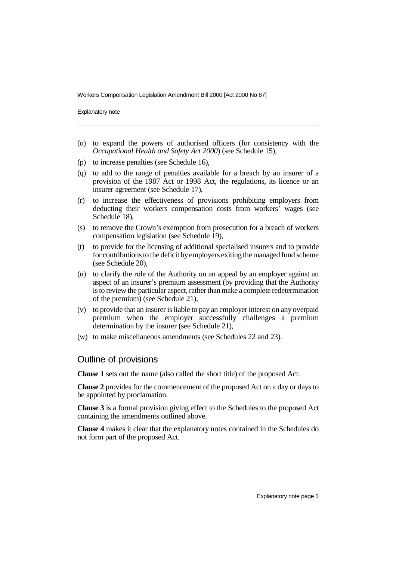Workers Compensation Legislation Amendment Bill 2000 [Act 2000 No 87]

Explanatory note

- (o) to expand the powers of authorised officers (for consistency with the *Occupational Health and Safety Act 2000*) (see Schedule 15),
- (p) to increase penalties (see Schedule 16),
- (q) to add to the range of penalties available for a breach by an insurer of a provision of the 1987 Act or 1998 Act, the regulations, its licence or an insurer agreement (see Schedule 17),
- (r) to increase the effectiveness of provisions prohibiting employers from deducting their workers compensation costs from workers' wages (see Schedule 18).
- (s) to remove the Crown's exemption from prosecution for a breach of workers compensation legislation (see Schedule 19),
- (t) to provide for the licensing of additional specialised insurers and to provide for contributions to the deficit by employers exiting the managed fund scheme (see Schedule 20),
- (u) to clarify the role of the Authority on an appeal by an employer against an aspect of an insurer's premium assessment (by providing that the Authority is to review the particular aspect, rather than make a complete redetermination of the premium) (see Schedule 21),
- (v) to provide that an insurer is liable to pay an employer interest on any overpaid premium when the employer successfully challenges a premium determination by the insurer (see Schedule 21),
- (w) to make miscellaneous amendments (see Schedules 22 and 23).

#### Outline of provisions

**Clause 1** sets out the name (also called the short title) of the proposed Act.

**Clause 2** provides for the commencement of the proposed Act on a day or days to be appointed by proclamation.

**Clause 3** is a formal provision giving effect to the Schedules to the proposed Act containing the amendments outlined above.

**Clause 4** makes it clear that the explanatory notes contained in the Schedules do not form part of the proposed Act.